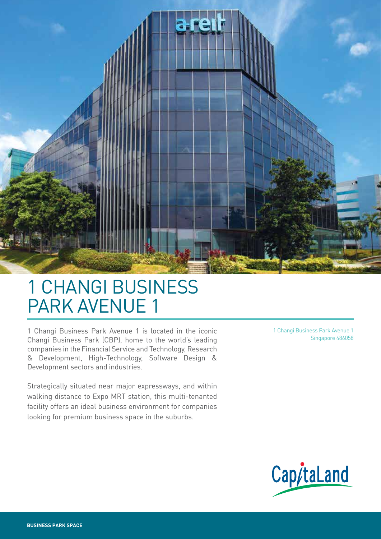

# 1 CHANGI BUSINESS PARK AVENUE 1

1 Changi Business Park Avenue 1 is located in the iconic Changi Business Park (CBP), home to the world's leading companies in the Financial Service and Technology, Research & Development, High-Technology, Software Design & Development sectors and industries.

Strategically situated near major expressways, and within walking distance to Expo MRT station, this multi-tenanted facility offers an ideal business environment for companies looking for premium business space in the suburbs.

1 Changi Business Park Avenue 1 Singapore 486058